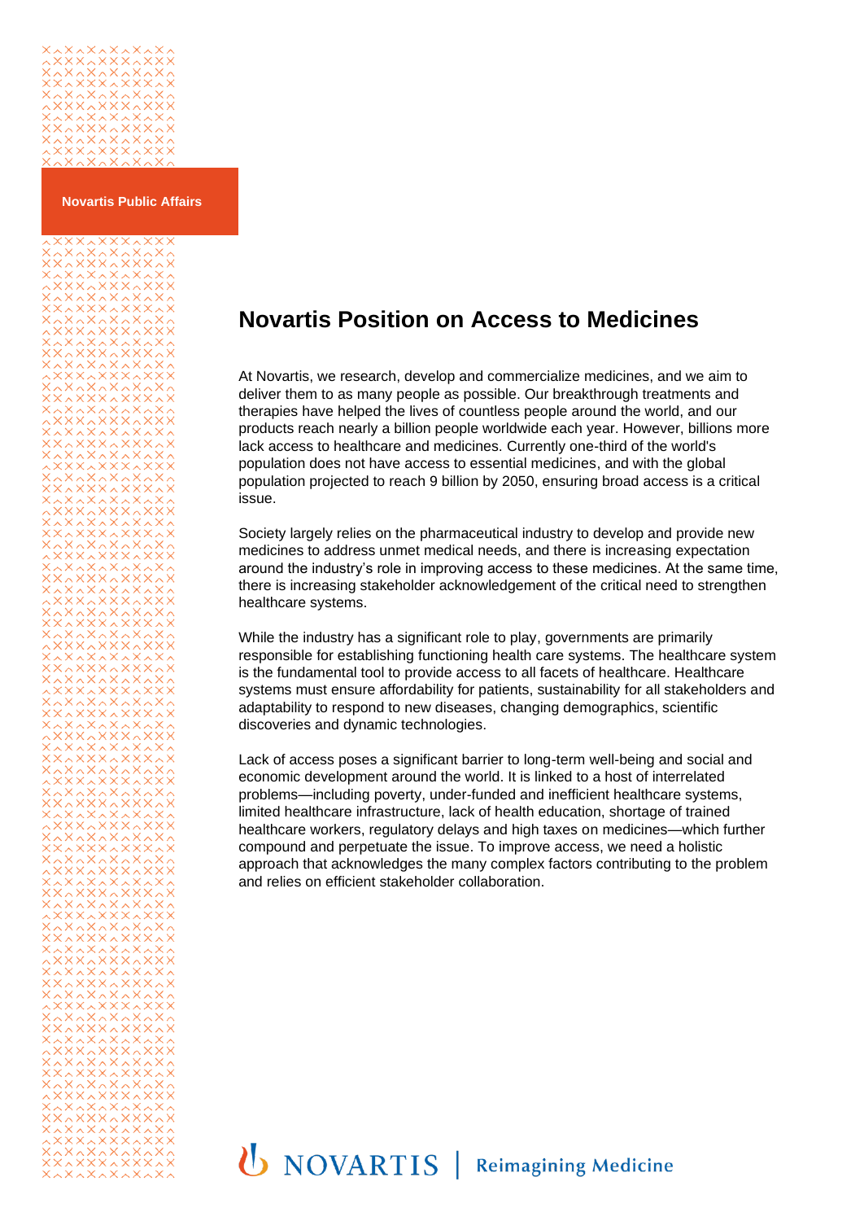

**Novartis Public Affairs**

# 

# **Novartis Position on Access to Medicines**

At Novartis, we research, develop and commercialize medicines, and we aim to deliver them to as many people as possible. Our breakthrough treatments and therapies have helped the lives of countless people around the world, and our products reach nearly a billion people worldwide each year. However, billions more lack access to healthcare and medicines. Currently one-third of the world's population does not have access to essential medicines, and with the global population projected to reach 9 billion by 2050, ensuring broad access is a critical issue.

Society largely relies on the pharmaceutical industry to develop and provide new medicines to address unmet medical needs, and there is increasing expectation around the industry's role in improving access to these medicines. At the same time, there is increasing stakeholder acknowledgement of the critical need to strengthen healthcare systems.

While the industry has a significant role to play, governments are primarily responsible for establishing functioning health care systems. The healthcare system is the fundamental tool to provide access to all facets of healthcare. Healthcare systems must ensure affordability for patients, sustainability for all stakeholders and adaptability to respond to new diseases, changing demographics, scientific discoveries and dynamic technologies.

Lack of access poses a significant barrier to long-term well-being and social and economic development around the world. It is linked to a host of interrelated problems—including poverty, under-funded and inefficient healthcare systems, limited healthcare infrastructure, lack of health education, shortage of trained healthcare workers, regulatory delays and high taxes on medicines—which further compound and perpetuate the issue. To improve access, we need a holistic approach that acknowledges the many complex factors contributing to the problem and relies on efficient stakeholder collaboration.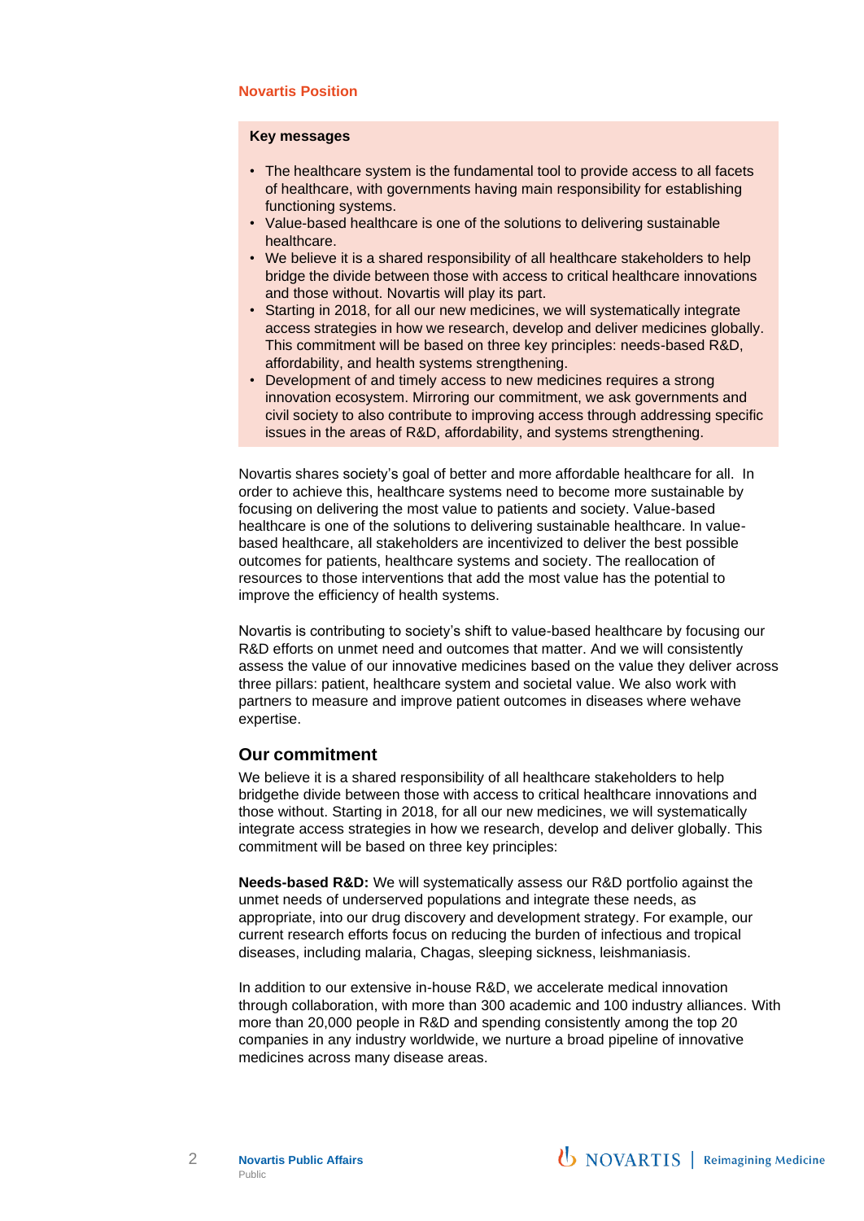# **Novartis Position**

### **Key messages**

- The healthcare system is the fundamental tool to provide access to all facets of healthcare, with governments having main responsibility for establishing functioning systems.
- Value-based healthcare is one of the solutions to delivering sustainable healthcare.
- We believe it is a shared responsibility of all healthcare stakeholders to help bridge the divide between those with access to critical healthcare innovations and those without. Novartis will play its part.
- Starting in 2018, for all our new medicines, we will systematically integrate access strategies in how we research, develop and deliver medicines globally. This commitment will be based on three key principles: needs-based R&D, affordability, and health systems strengthening.
- Development of and timely access to new medicines requires a strong innovation ecosystem. Mirroring our commitment, we ask governments and civil society to also contribute to improving access through addressing specific issues in the areas of R&D, affordability, and systems strengthening.

Novartis shares society's goal of better and more affordable healthcare for all. In order to achieve this, healthcare systems need to become more sustainable by focusing on delivering the most value to patients and society. Value-based healthcare is one of the solutions to delivering sustainable healthcare. In valuebased healthcare, all stakeholders are incentivized to deliver the best possible outcomes for patients, healthcare systems and society. The reallocation of resources to those interventions that add the most value has the potential to improve the efficiency of health systems.

Novartis is contributing to society's shift to value-based healthcare by focusing our R&D efforts on unmet need and outcomes that matter. And we will consistently assess the value of our innovative medicines based on the value they deliver across three pillars: patient, healthcare system and societal value. We also work with partners to measure and improve patient outcomes in diseases where wehave expertise.

# **Our commitment**

We believe it is a shared responsibility of all healthcare stakeholders to help bridgethe divide between those with access to critical healthcare innovations and those without. Starting in 2018, for all our new medicines, we will systematically integrate access strategies in how we research, develop and deliver globally. This commitment will be based on three key principles:

**Needs-based R&D:** We will systematically assess our R&D portfolio against the unmet needs of underserved populations and integrate these needs, as appropriate, into our drug discovery and development strategy. For example, our current research efforts focus on reducing the burden of infectious and tropical diseases, including malaria, Chagas, sleeping sickness, leishmaniasis.

In addition to our extensive in-house R&D, we accelerate medical innovation through collaboration, with more than 300 academic and 100 industry alliances. With more than 20,000 people in R&D and spending consistently among the top 20 companies in any industry worldwide, we nurture a broad pipeline of innovative medicines across many disease areas.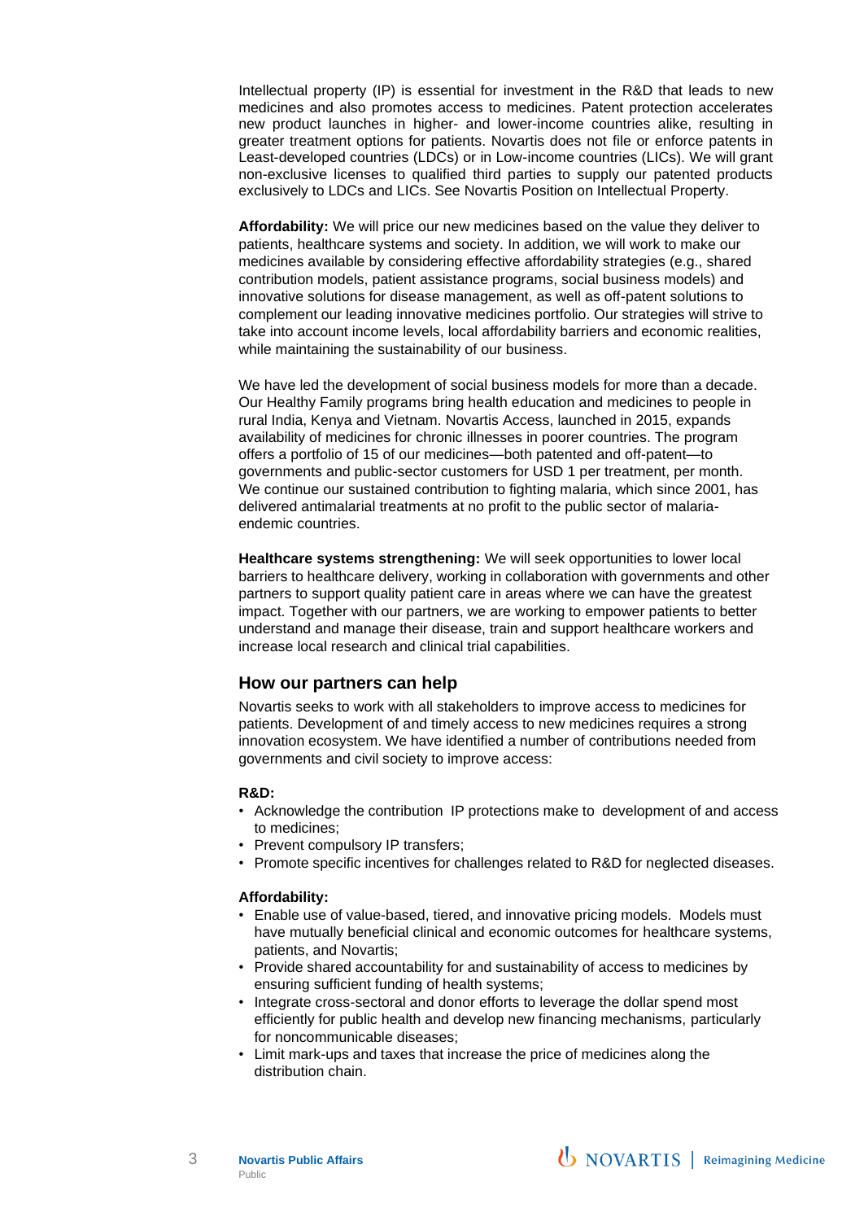Intellectual property (IP) is essential for investment in the R&D that leads to new medicines and also promotes access to medicines. Patent protection accelerates new product launches in higher- and lower-income countries alike, resulting in greater treatment options for patients. Novartis does not file or enforce patents in Least-developed countries (LDCs) or in Low-income countries (LICs). We will grant non-exclusive licenses to qualified third parties to supply our patented products exclusively to LDCs and LICs. See Novartis Position on Intellectual Property.

**Affordability:** We will price our new medicines based on the value they deliver to patients, healthcare systems and society. In addition, we will work to make our medicines available by considering effective affordability strategies (e.g., shared contribution models, patient assistance programs, social business models) and innovative solutions for disease management, as well as off-patent solutions to complement our leading innovative medicines portfolio. Our strategies will strive to take into account income levels, local affordability barriers and economic realities, while maintaining the sustainability of our business.

We have led the development of social business models for more than a decade. Our Healthy Family programs bring health education and medicines to people in rural India, Kenya and Vietnam. Novartis Access, launched in 2015, expands availability of medicines for chronic illnesses in poorer countries. The program offers a portfolio of 15 of our medicines—both patented and off-patent—to governments and public-sector customers for USD 1 per treatment, per month. We continue our sustained contribution to fighting malaria, which since 2001, has delivered antimalarial treatments at no profit to the public sector of malariaendemic countries.

**Healthcare systems strengthening:** We will seek opportunities to lower local barriers to healthcare delivery, working in collaboration with governments and other partners to support quality patient care in areas where we can have the greatest impact. Together with our partners, we are working to empower patients to better understand and manage their disease, train and support healthcare workers and increase local research and clinical trial capabilities.

# **How our partners can help**

Novartis seeks to work with all stakeholders to improve access to medicines for patients. Development of and timely access to new medicines requires a strong innovation ecosystem. We have identified a number of contributions needed from governments and civil society to improve access:

### **R&D:**

- Acknowledge the contribution IP protections make to development of and access to medicines;
- Prevent compulsory IP transfers;
- Promote specific incentives for challenges related to R&D for neglected diseases.

### **Affordability:**

- Enable use of value-based, tiered, and innovative pricing models. Models must have mutually beneficial clinical and economic outcomes for healthcare systems, patients, and Novartis;
- Provide shared accountability for and sustainability of access to medicines by ensuring sufficient funding of health systems;
- Integrate cross-sectoral and donor efforts to leverage the dollar spend most efficiently for public health and develop new financing mechanisms, particularly for noncommunicable diseases;
- Limit mark-ups and taxes that increase the price of medicines along the distribution chain.